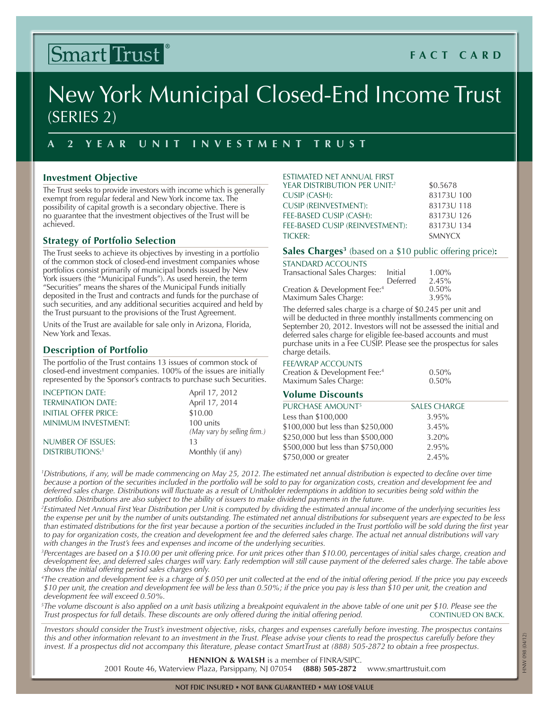# Smart Trust

# **Fact C ard**

# New York Municipal Closed-End Income Trust (Series 2)

# **A 2 Y ear Uni t I n vest m e n t T rust**

# **Investment Objective**

The Trust seeks to provide investors with income which is generally exempt from regular federal and New York income tax. The possibility of capital growth is a secondary objective. There is no guarantee that the investment objectives of the Trust will be achieved.

# **Strategy of Portfolio Selection**

The Trust seeks to achieve its objectives by investing in a portfolio of the common stock of closed-end investment companies whose portfolios consist primarily of municipal bonds issued by New York issuers (the "Municipal Funds"). As used herein, the term "Securities" means the shares of the Municipal Funds initially deposited in the Trust and contracts and funds for the purchase of such securities, and any additional securities acquired and held by the Trust pursuant to the provisions of the Trust Agreement.

Units of the Trust are available for sale only in Arizona, Florida, New York and Texas.

## **Description of Portfolio**

The portfolio of the Trust contains 13 issues of common stock of closed-end investment companies. 100% of the issues are initially represented by the Sponsor's contracts to purchase such Securities.

| INCEPTION DATE:             | April 17, 2012                           |
|-----------------------------|------------------------------------------|
| <b>TERMINATION DATE:</b>    | April 17, 2014                           |
| <b>INITIAL OFFER PRICE:</b> | \$10.00                                  |
| <b>MINIMUM INVESTMENT:</b>  | 100 units<br>(May vary by selling firm.) |
| NUMBER OF ISSUES:           | 13                                       |
| <b>DISTRIBUTIONS:1</b>      | Monthly (if any)                         |

| ESTIMATED NET ANNUAL FIRST          |               |
|-------------------------------------|---------------|
| <b>YEAR DISTRIBUTION PER UNIT:2</b> | \$0.5678      |
| CUSIP (CASH):                       | 83173U 100    |
| <b>CUSIP (REINVESTMENT):</b>        | 83173U 118    |
| FEE-BASED CUSIP (CASH):             | 83173U 126    |
| FEE-BASED CUSIP (REINVESTMENT):     | 83173U 134    |
| TICKER:                             | <b>SMNYCX</b> |
|                                     |               |

#### **Sales Charges3** (based on a \$10 public offering price)**:**

| STANDARD ACCOUNTS                        |          |          |
|------------------------------------------|----------|----------|
| Transactional Sales Charges:             | Initial  | $1.00\%$ |
|                                          | Deferred | 2.45%    |
| Creation & Development Fee: <sup>4</sup> |          | 0.50%    |
| Maximum Sales Charge:                    |          | 3.95%    |
|                                          |          |          |

The deferred sales charge is a charge of \$0.245 per unit and will be deducted in three monthly installments commencing on September 20, 2012. Investors will not be assessed the initial and deferred sales charge for eligible fee-based accounts and must purchase units in a Fee CUSIP. Please see the prospectus for sales charge details.

#### Fee/Wrap Accounts

| Creation & Development Fee: <sup>4</sup> | $0.50\%$ |
|------------------------------------------|----------|
| Maximum Sales Charge:                    | $0.50\%$ |

## **Volume Discounts**

| <b>SALES CHARGE</b> |
|---------------------|
| $3.95\%$            |
| 3.45%               |
| 3.20%               |
| 2.95%               |
| 2.45%               |
|                     |

*1 Distributions, if any, will be made commencing on May 25, 2012. The estimated net annual distribution is expected to decline over time because a portion of the securities included in the portfolio will be sold to pay for organization costs, creation and development fee and deferred sales charge. Distributions will fluctuate as a result of Unitholder redemptions in addition to securities being sold within the portfolio. Distributions are also subject to the ability of issuers to make dividend payments in the future.*

*2 Estimated Net Annual First Year Distribution per Unit is computed by dividing the estimated annual income of the underlying securities less the expense per unit by the number of units outstanding. The estimated net annual distributions for subsequent years are expected to be less than estimated distributions for the first year because a portion of the securities included in the Trust portfolio will be sold during the first year*  to pay for organization costs, the creation and development fee and the deferred sales charge. The actual net annual distributions will vary *with changes in the Trust's fees and expenses and income of the underlying securities.*

*3 Percentages are based on a \$10.00 per unit offering price. For unit prices other than \$10.00, percentages of initial sales charge, creation and development fee, and deferred sales charges will vary. Early redemption will still cause payment of the deferred sales charge. The table above shows the initial offering period sales charges only.* 

*4 The creation and development fee is a charge of \$.050 per unit collected at the end of the initial offering period. If the price you pay exceeds \$10 per unit, the creation and development fee will be less than 0.50%; if the price you pay is less than \$10 per unit, the creation and development fee will exceed 0.50%.*

*5 The volume discount is also applied on a unit basis utilizing a breakpoint equivalent in the above table of one unit per \$10. Please see the Trust prospectus for full details. These discounts are only offered during the initial offering period.* CONTINUED ON BACK.

*Investors should consider the Trust's investment objective, risks, charges and expenses carefully before investing. The prospectus contains this and other information relevant to an investment in the Trust. Please advise your clients to read the prospectus carefully before they invest. If a prospectus did not accompany this literature, please contact SmartTrust at (888) 505-2872 to obtain a free prospectus.*

**Hennion & Walsh** is a member of FINRA/SIPC.

2001 Route 46, Waterview Plaza, Parsippany, NJ 07054 **(888) 505-2872** www.smarttrustuit.com